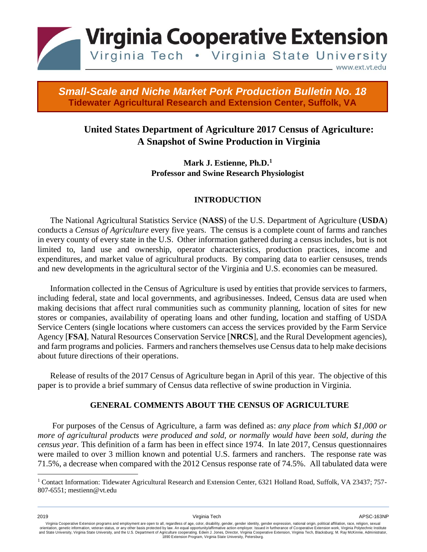

## *2014 Small-Scale and Niche Market Pork Production Bulletin No. 18*  **Tidewater Agricultural Research and Extension Center, Suffolk, VA**

# **United States Department of Agriculture 2017 Census of Agriculture: A Snapshot of Swine Production in Virginia**

**Mark J. Estienne, Ph.D.<sup>1</sup> Professor and Swine Research Physiologist**

## **INTRODUCTION**

The [National Agricultural Statistics Service](http://en.wikipedia.org/wiki/National_Agricultural_Statistics_Service) (**NASS**) of the U.S. Department of Agriculture (**USDA**) conducts a *Census of Agriculture* every five years. The census is a complete count of [farms](http://en.wikipedia.org/wiki/Farm) [a](http://en.wikipedia.org/wiki/Farm)nd [ranches](http://en.wikipedia.org/wiki/Ranch) in every county of every state in the U.S. Other information gathered during a census includes, but is not limited to, [land use](http://en.wikipedia.org/wiki/Land_use) [a](http://en.wikipedia.org/wiki/Land_use)nd [ownership,](http://en.wikipedia.org/wiki/Private_property) operator characteristics, production practices, income and expenditures, and market value of agricultural products. By comparing data to earlier censuses, trends and new developments in the agricultural sector of the Virginia and U.S. economies can be measured.

Information collected in the Census of Agriculture is used by entities that provide services to farmers, including federal, state and local governments, and agribusinesses. Indeed, Census data are used when making decisions that affect rural communities such as community planning, location of sites for new stores or companies, availability of operating loans and other funding, location and staffing of USDA Service Centers (single locations where customers can access the services provided by the Farm Service Agency [**FSA]**, Natural Resources Conservation Service [**NRCS**], and the Rural Development agencies), and farm programs and policies. Farmers and ranchers themselves use Census data to help make decisions about future directions of their operations.

Release of results of the 2017 Census of Agriculture began in April of this year. The objective of this paper is to provide a brief summary of Census data reflective of swine production in Virginia.

#### **GENERAL COMMENTS ABOUT THE CENSUS OF AGRICULTURE**

For purposes of the Census of Agriculture, a farm was defined as: *any place from which \$1,000 or more of agricultural products were produced and sold, or normally would have been sold, during the census year.* This definition of a farm has been in effect since 1974. In late 2017, Census questionnaires were mailed to over 3 million known and potential U.S. farmers and ranchers. The response rate was 71.5%, a decrease when compared with the 2012 Census response rate of 74.5%. All tabulated data were

<sup>1</sup> Contact Information: Tidewater Agricultural Research and Extension Center, 6321 Holland Road, Suffolk, VA 23437; 757- 807-6551; mestienn@vt.edu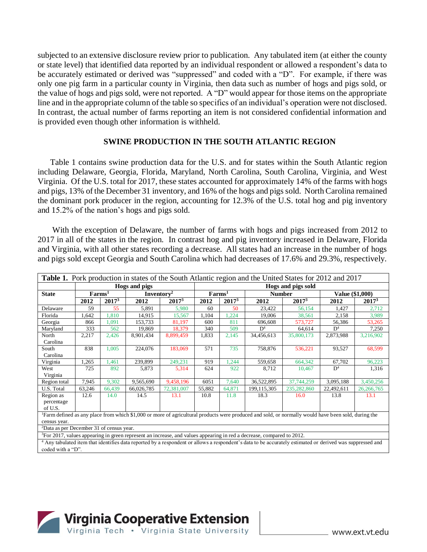subjected to an extensive disclosure review prior to publication. Any tabulated item (at either the county or state level) that identified data reported by an individual respondent or allowed a respondent's data to be accurately estimated or derived was "suppressed" and coded with a "D". For example, if there was only one pig farm in a particular county in Virginia, then data such as number of hogs and pigs sold, or the value of hogs and pigs sold, were not reported. A "D" would appear for those items on the appropriate line and in the appropriate column of the table so specifics of an individual's operation were not disclosed. In contrast, the actual number of farms reporting an item is not considered confidential information and is provided even though other information is withheld.

#### **SWINE PRODUCTION IN THE SOUTH ATLANTIC REGION**

Table 1 contains swine production data for the U.S. and for states within the South Atlantic region including Delaware, Georgia, Florida, Maryland, North Carolina, South Carolina, Virginia, and West Virginia. Of the U.S. total for 2017, these states accounted for approximately 14% of the farms with hogs and pigs, 13% of the December 31 inventory, and 16% of the hogs and pigs sold. North Carolina remained the dominant pork producer in the region, accounting for 12.3% of the U.S. total hog and pig inventory and 15.2% of the nation's hogs and pigs sold.

With the exception of Delaware, the number of farms with hogs and pigs increased from 2012 to 2017 in all of the states in the region. In contrast hog and pig inventory increased in Delaware, Florida and Virginia, with all other states recording a decrease. All states had an increase in the number of hogs and pigs sold except Georgia and South Carolina which had decreases of 17.6% and 29.3%, respectively.

| <b>Table 1.</b> Pork production in states of the South Atlantic region and the United States for 2012 and 2017                                                       |                |                   |                        |            |                    |                   |                |                   |                 |                   |
|----------------------------------------------------------------------------------------------------------------------------------------------------------------------|----------------|-------------------|------------------------|------------|--------------------|-------------------|----------------|-------------------|-----------------|-------------------|
|                                                                                                                                                                      | Hogs and pigs  |                   |                        |            | Hogs and pigs sold |                   |                |                   |                 |                   |
| <b>State</b>                                                                                                                                                         | $\rm{Farms}^1$ |                   | Inventory <sup>2</sup> |            | $\rm{Farms}^1$     |                   | <b>Number</b>  |                   | Value (\$1,000) |                   |
|                                                                                                                                                                      | 2012           | 2017 <sup>3</sup> | 2012                   | 20173      | 2012               | 2017 <sup>3</sup> | 2012           | 2017 <sup>3</sup> | 2012            | 2017 <sup>3</sup> |
| Delaware                                                                                                                                                             | 59             | 55                | 5,891                  | 5,980      | 60                 | 50                | 23,422         | 56,154            | 1.427           | 2,712             |
| Florida                                                                                                                                                              | 1,642          | 1,810             | 14.915                 | 15,567     | 1,104              | 1,224             | 19,006         | 38,561            | 2,158           | 3,989             |
| Georgia                                                                                                                                                              | 866            | 1,091             | 153,733                | 81,197     | 600                | 811               | 696,608        | 573,727           | 56,386          | 53,265            |
| Maryland                                                                                                                                                             | 333            | 562               | 19.869                 | 18,379     | 340                | 509               | D <sup>4</sup> | 64,614            | D <sup>4</sup>  | 7,250             |
| North                                                                                                                                                                | 2,217          | 2,426             | 8,901,434              | 8,899,459  | 1,833              | 2,145             | 34,456,613     | 35,800,173        | 2,873,988       | 3,216,902         |
| Carolina                                                                                                                                                             |                |                   |                        |            |                    |                   |                |                   |                 |                   |
| South                                                                                                                                                                | 838            | 1.005             | 224,076                | 183,069    | 571                | 735               | 758,876        | 536,221           | 93,527          | 68,599            |
| Carolina                                                                                                                                                             |                |                   |                        |            |                    |                   |                |                   |                 |                   |
| Virginia                                                                                                                                                             | 1,265          | .461              | 239,899                | 249,231    | 919                | 1,244             | 559,658        | 664,342           | 67,702          | 96,223            |
| West                                                                                                                                                                 | 725            | 892               | 5,873                  | 5,314      | 624                | 922               | 8,712          | 10,467            | D <sup>4</sup>  | 1,316             |
| Virginia                                                                                                                                                             |                |                   |                        |            |                    |                   |                |                   |                 |                   |
| Region total                                                                                                                                                         | 7,945          | 9,302             | 9,565,690              | 9,458,196  | 6051               | 7,640             | 36,522,895     | 37,744,259        | 3,095,188       | 3,450,256         |
| U.S. Total                                                                                                                                                           | 63,246         | 66,439            | 66,026,785             | 72,381,007 | 55,882             | 64,871            | 199,115,305    | 235,282,860       | 22,492,611      | 26, 266, 765      |
| Region as                                                                                                                                                            | 12.6           | 14.0              | 14.5                   | 13.1       | 10.8               | 11.8              | 18.3           | 16.0              | 13.8            | 13.1              |
| percentage                                                                                                                                                           |                |                   |                        |            |                    |                   |                |                   |                 |                   |
| of U.S.                                                                                                                                                              |                |                   |                        |            |                    |                   |                |                   |                 |                   |
| Farm defined as any place from which \$1,000 or more of agricultural products were produced and sold, or normally would have been sold, during the                   |                |                   |                        |            |                    |                   |                |                   |                 |                   |
| census year.                                                                                                                                                         |                |                   |                        |            |                    |                   |                |                   |                 |                   |
| <sup>2</sup> Data as per December 31 of census year.                                                                                                                 |                |                   |                        |            |                    |                   |                |                   |                 |                   |
| ${}^{3}$ For 2017, values appearing in green represent an increase, and values appearing in red a decrease, compared to 2012.                                        |                |                   |                        |            |                    |                   |                |                   |                 |                   |
| <sup>4</sup> Any tabulated item that identifies data reported by a respondent or allows a respondent's data to be accurately estimated or derived was suppressed and |                |                   |                        |            |                    |                   |                |                   |                 |                   |
| coded with a "D"                                                                                                                                                     |                |                   |                        |            |                    |                   |                |                   |                 |                   |

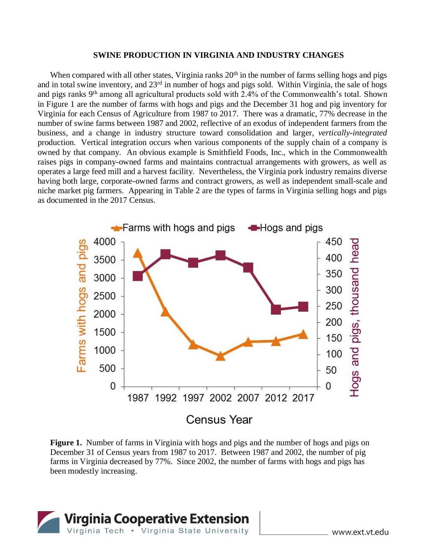#### **SWINE PRODUCTION IN VIRGINIA AND INDUSTRY CHANGES**

When compared with all other states, Virginia ranks  $20<sup>th</sup>$  in the number of farms selling hogs and pigs and in total swine inventory, and  $23<sup>rd</sup>$  in number of hogs and pigs sold. Within Virginia, the sale of hogs and pigs ranks 9th among all agricultural products sold with 2.4% of the Commonwealth's total. Shown in Figure 1 are the number of farms with hogs and pigs and the December 31 hog and pig inventory for Virginia for each Census of Agriculture from 1987 to 2017. There was a dramatic, 77% decrease in the number of swine farms between 1987 and 2002, reflective of an exodus of independent farmers from the business, and a change in industry structure toward consolidation and larger, *vertically-integrated* production. Vertical integration occurs when various components of the [supply chain](http://en.wikipedia.org/wiki/Supply_chain) of a company is owned by that company. An obvious example is Smithfield Foods, Inc., which in the Commonwealth raises pigs in company-owned farms and maintains contractual arrangements with growers, as well as operates a large feed mill and a harvest facility. Nevertheless, the Virginia pork industry remains diverse having both large, corporate-owned farms and contract growers, as well as independent small-scale and niche market pig farmers. Appearing in Table 2 are the types of farms in Virginia selling hogs and pigs as documented in the 2017 Census.



**Figure 1.** Number of farms in Virginia with hogs and pigs and the number of hogs and pigs on December 31 of Census years from 1987 to 2017. Between 1987 and 2002, the number of pig farms in Virginia decreased by 77%. Since 2002, the number of farms with hogs and pigs has been modestly increasing.

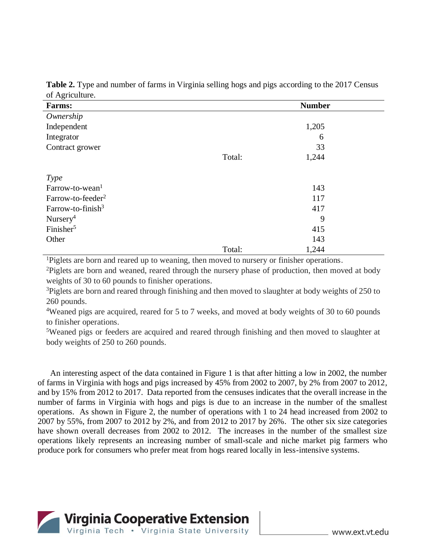| ັ<br><b>Farms:</b>            |        | <b>Number</b> |  |
|-------------------------------|--------|---------------|--|
| Ownership                     |        |               |  |
| Independent                   |        | 1,205         |  |
| Integrator                    |        | 6             |  |
| Contract grower               |        | 33            |  |
|                               | Total: | 1,244         |  |
| <i>Type</i>                   |        |               |  |
| Farrow-to-wean <sup>1</sup>   |        | 143           |  |
| Farrow-to-feeder <sup>2</sup> |        | 117           |  |
| Farrow-to-finish <sup>3</sup> |        | 417           |  |
| Nursery <sup>4</sup>          |        | 9             |  |
| Finisher <sup>5</sup>         |        | 415           |  |
| Other                         |        | 143           |  |
|                               | Total: | 1,244         |  |

**Table 2.** Type and number of farms in Virginia selling hogs and pigs according to the 2017 Census of Agriculture.

<sup>1</sup>Piglets are born and reared up to weaning, then moved to nursery or finisher operations.

<sup>2</sup>Piglets are born and weaned, reared through the nursery phase of production, then moved at body weights of 30 to 60 pounds to finisher operations.

<sup>3</sup>Piglets are born and reared through finishing and then moved to slaughter at body weights of 250 to 260 pounds.

<sup>4</sup>Weaned pigs are acquired, reared for 5 to 7 weeks, and moved at body weights of 30 to 60 pounds to finisher operations.

<sup>5</sup>Weaned pigs or feeders are acquired and reared through finishing and then moved to slaughter at body weights of 250 to 260 pounds.

An interesting aspect of the data contained in Figure 1 is that after hitting a low in 2002, the number of farms in Virginia with hogs and pigs increased by 45% from 2002 to 2007, by 2% from 2007 to 2012, and by 15% from 2012 to 2017. Data reported from the censuses indicates that the overall increase in the number of farms in Virginia with hogs and pigs is due to an increase in the number of the smallest operations. As shown in Figure 2, the number of operations with 1 to 24 head increased from 2002 to 2007 by 55%, from 2007 to 2012 by 2%, and from 2012 to 2017 by 26%. The other six size categories have shown overall decreases from 2002 to 2012. The increases in the number of the smallest size operations likely represents an increasing number of small-scale and niche market pig farmers who produce pork for consumers who prefer meat from hogs reared locally in less-intensive systems.

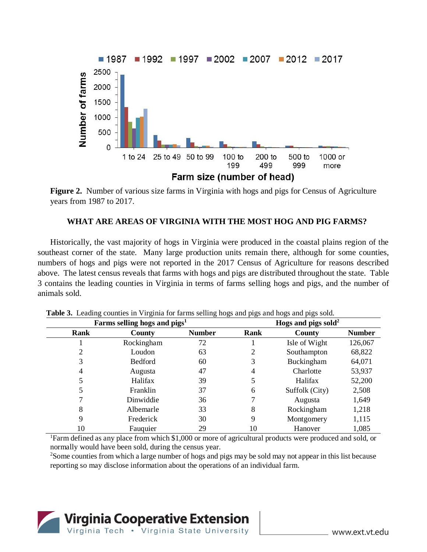

**Figure 2.** Number of various size farms in Virginia with hogs and pigs for Census of Agriculture years from 1987 to 2017.

## **WHAT ARE AREAS OF VIRGINIA WITH THE MOST HOG AND PIG FARMS?**

Historically, the vast majority of hogs in Virginia were produced in the coastal plains region of the southeast corner of the state. Many large production units remain there, although for some counties, numbers of hogs and pigs were not reported in the 2017 Census of Agriculture for reasons described above. The latest census reveals that farms with hogs and pigs are distributed throughout the state. Table 3 contains the leading counties in Virginia in terms of farms selling hogs and pigs, and the number of animals sold.

|      | Farms selling hogs and $pigs1$ | Hogs and pigs sold <sup>2</sup> |      |                |               |
|------|--------------------------------|---------------------------------|------|----------------|---------------|
| Rank | County                         | <b>Number</b>                   | Rank | County         | <b>Number</b> |
|      | Rockingham                     | 72                              |      | Isle of Wight  | 126,067       |
|      | Loudon                         | 63                              |      | Southampton    | 68,822        |
| 3    | <b>Bedford</b>                 | 60                              | 3    | Buckingham     | 64,071        |
| 4    | Augusta                        | 47                              | 4    | Charlotte      | 53,937        |
|      | Halifax                        | 39                              |      | Halifax        | 52,200        |
|      | Franklin                       | 37                              | 6    | Suffolk (City) | 2,508         |
|      | Dinwiddie                      | 36                              |      | Augusta        | 1,649         |
| 8    | Albemarle                      | 33                              | 8    | Rockingham     | 1,218         |
| 9    | Frederick                      | 30                              | 9    | Montgomery     | 1,115         |
| 10   | Fauquier                       | 29                              | 10   | Hanover        | 1,085         |

**Table 3.** Leading counties in Virginia for farms selling hogs and pigs and hogs and pigs sold.

<sup>1</sup>Farm defined as any place from which \$1,000 or more of agricultural products were produced and sold, or normally would have been sold, during the census year.

<sup>2</sup>Some counties from which a large number of hogs and pigs may be sold may not appear in this list because reporting so may disclose information about the operations of an individual farm.